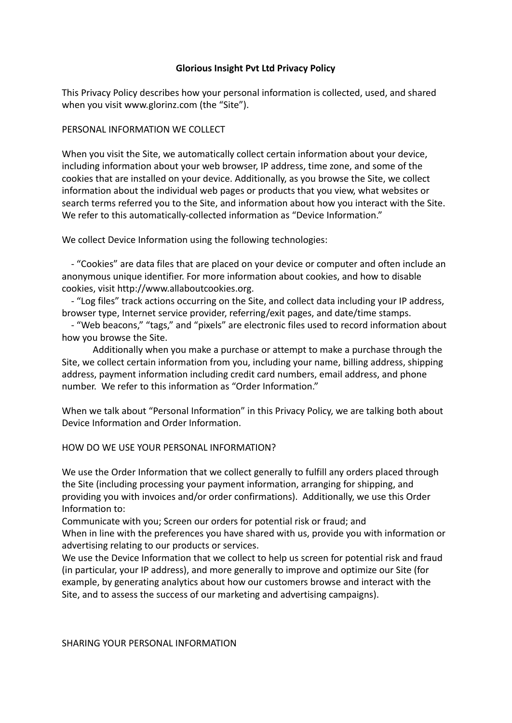## **Glorious Insight Pvt Ltd Privacy Policy**

This Privacy Policy describes how your personal information is collected, used, and shared when you visit www.glorinz.com (the "Site").

# PERSONAL INFORMATION WE COLLECT

When you visit the Site, we automatically collect certain information about your device, including information about your web browser, IP address, time zone, and some of the cookies that are installed on your device. Additionally, as you browse the Site, we collect information about the individual web pages or products that you view, what websites or search terms referred you to the Site, and information about how you interact with the Site. We refer to this automatically-collected information as "Device Information."

We collect Device Information using the following technologies:

- "Cookies" are data files that are placed on your device or computer and often include an anonymous unique identifier. For more information about cookies, and how to disable cookies, visit http://www.allaboutcookies.org.

- "Log files" track actions occurring on the Site, and collect data including your IP address, browser type, Internet service provider, referring/exit pages, and date/time stamps.

- "Web beacons," "tags," and "pixels" are electronic files used to record information about how you browse the Site.

Additionally when you make a purchase or attempt to make a purchase through the Site, we collect certain information from you, including your name, billing address, shipping address, payment information including credit card numbers, email address, and phone number. We refer to this information as "Order Information."

When we talk about "Personal Information" in this Privacy Policy, we are talking both about Device Information and Order Information.

### HOW DO WE USE YOUR PERSONAL INFORMATION?

We use the Order Information that we collect generally to fulfill any orders placed through the Site (including processing your payment information, arranging for shipping, and providing you with invoices and/or order confirmations). Additionally, we use this Order Information to:

Communicate with you; Screen our orders for potential risk or fraud; and When in line with the preferences you have shared with us, provide you with information or advertising relating to our products or services.

We use the Device Information that we collect to help us screen for potential risk and fraud (in particular, your IP address), and more generally to improve and optimize our Site (for example, by generating analytics about how our customers browse and interact with the Site, and to assess the success of our marketing and advertising campaigns).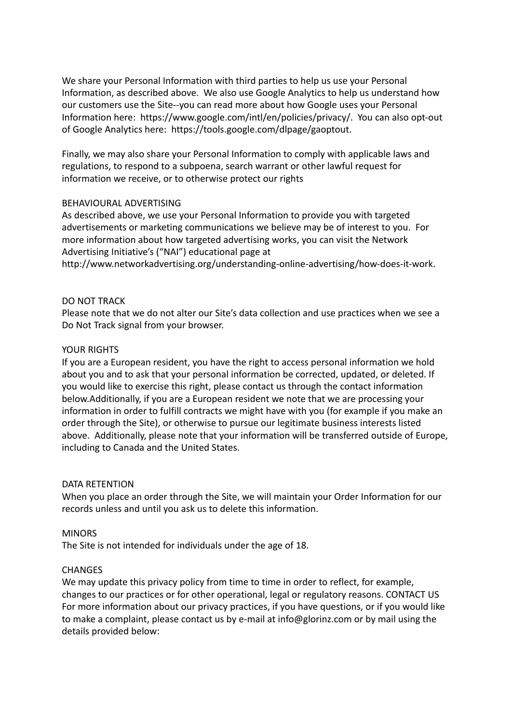We share your Personal Information with third parties to help us use your Personal Information, as described above. We also use Google Analytics to help us understand how our customers use the Site--you can read more about how Google uses your Personal Information here: https://www.google.com/intl/en/policies/privacy/. You can also opt-out of Google Analytics here: https://tools.google.com/dlpage/gaoptout.

Finally, we may also share your Personal Information to comply with applicable laws and regulations, to respond to a subpoena, search warrant or other lawful request for information we receive, or to otherwise protect our rights

### BEHAVIOURAL ADVERTISING

As described above, we use your Personal Information to provide you with targeted advertisements or marketing communications we believe may be of interest to you. For more information about how targeted advertising works, you can visit the Network Advertising Initiative's ("NAI") educational page at

http://www.networkadvertising.org/understanding-online-advertising/how-does-it-work.

### DO NOT TRACK

Please note that we do not alter our Site's data collection and use practices when we see a Do Not Track signal from your browser.

### YOUR RIGHTS

If you are a European resident, you have the right to access personal information we hold about you and to ask that your personal information be corrected, updated, or deleted. If you would like to exercise this right, please contact us through the contact information below.Additionally, if you are a European resident we note that we are processing your information in order to fulfill contracts we might have with you (for example if you make an order through the Site), or otherwise to pursue our legitimate business interests listed above. Additionally, please note that your information will be transferred outside of Europe, including to Canada and the United States.

### DATA RETENTION

When you place an order through the Site, we will maintain your Order Information for our records unless and until you ask us to delete this information.

### MINORS

The Site is not intended for individuals under the age of 18.

### **CHANGES**

We may update this privacy policy from time to time in order to reflect, for example, changes to our practices or for other operational, legal or regulatory reasons. CONTACT US For more information about our privacy practices, if you have questions, or if you would like to make a complaint, please contact us by e-mail at info@glorinz.com or by mail using the details provided below: